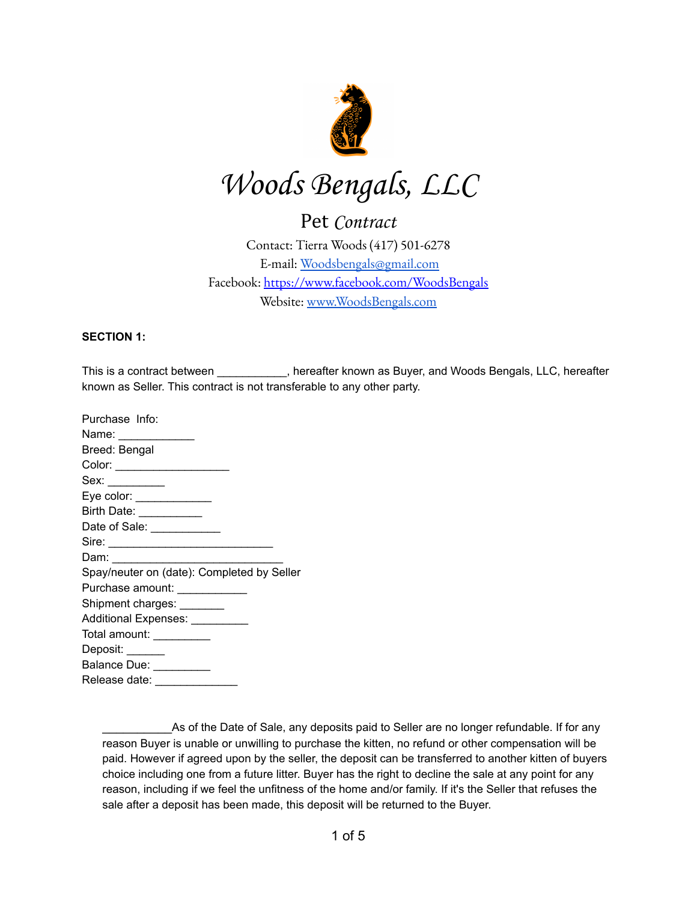

# Woods Bengals, LLC

# Pet Contract

Contact: Tierra Woods (417) 501-6278 E-mail: [Woodsbengals@gmail.com](mailto:Woodsbengals@gmail.com) Facebook: <https://www.facebook.com/WoodsBengals> Website: [www.WoodsBengals.com](http://www.woodsbengals.com/)

#### **SECTION 1:**

This is a contract between \_\_\_\_\_\_\_\_\_, hereafter known as Buyer, and Woods Bengals, LLC, hereafter known as Seller. This contract is not transferable to any other party.

As of the Date of Sale, any deposits paid to Seller are no longer refundable. If for any reason Buyer is unable or unwilling to purchase the kitten, no refund or other compensation will be paid. However if agreed upon by the seller, the deposit can be transferred to another kitten of buyers choice including one from a future litter. Buyer has the right to decline the sale at any point for any reason, including if we feel the unfitness of the home and/or family. If it's the Seller that refuses the sale after a deposit has been made, this deposit will be returned to the Buyer.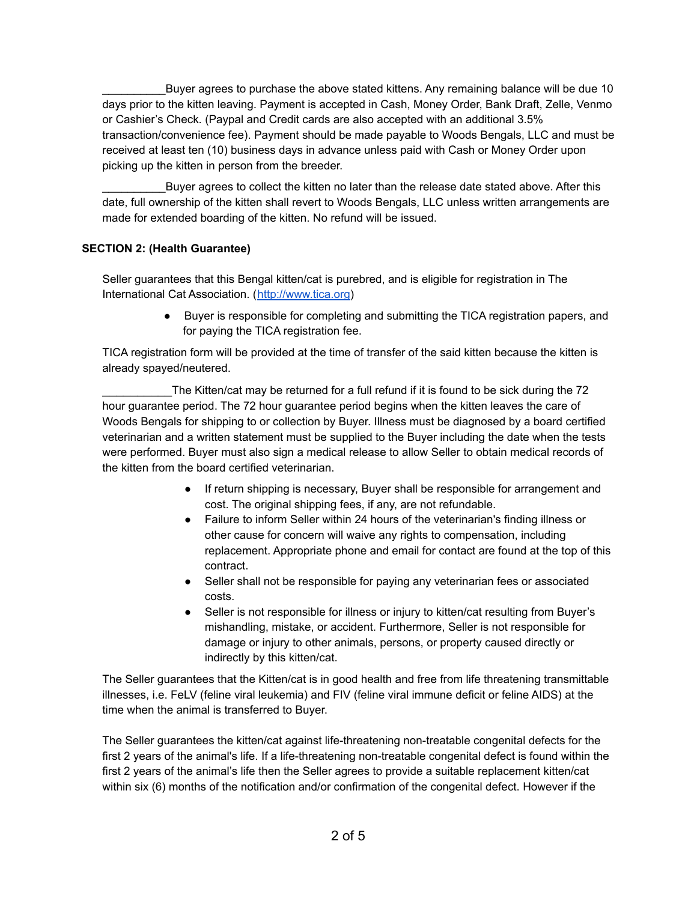Buyer agrees to purchase the above stated kittens. Any remaining balance will be due 10 days prior to the kitten leaving. Payment is accepted in Cash, Money Order, Bank Draft, Zelle, Venmo or Cashier's Check. (Paypal and Credit cards are also accepted with an additional 3.5% transaction/convenience fee). Payment should be made payable to Woods Bengals, LLC and must be received at least ten (10) business days in advance unless paid with Cash or Money Order upon picking up the kitten in person from the breeder.

Buyer agrees to collect the kitten no later than the release date stated above. After this date, full ownership of the kitten shall revert to Woods Bengals, LLC unless written arrangements are made for extended boarding of the kitten. No refund will be issued.

#### **SECTION 2: (Health Guarantee)**

Seller guarantees that this Bengal kitten/cat is purebred, and is eligible for registration in The International Cat Association. ([http://www.tica.org\)](http://www.tica.org/)

> ● Buyer is responsible for completing and submitting the TICA registration papers, and for paying the TICA registration fee.

TICA registration form will be provided at the time of transfer of the said kitten because the kitten is already spayed/neutered.

The Kitten/cat may be returned for a full refund if it is found to be sick during the 72 hour guarantee period. The 72 hour guarantee period begins when the kitten leaves the care of Woods Bengals for shipping to or collection by Buyer. Illness must be diagnosed by a board certified veterinarian and a written statement must be supplied to the Buyer including the date when the tests were performed. Buyer must also sign a medical release to allow Seller to obtain medical records of the kitten from the board certified veterinarian.

- If return shipping is necessary, Buyer shall be responsible for arrangement and cost. The original shipping fees, if any, are not refundable.
- Failure to inform Seller within 24 hours of the veterinarian's finding illness or other cause for concern will waive any rights to compensation, including replacement. Appropriate phone and email for contact are found at the top of this contract.
- Seller shall not be responsible for paying any veterinarian fees or associated costs.
- Seller is not responsible for illness or injury to kitten/cat resulting from Buyer's mishandling, mistake, or accident. Furthermore, Seller is not responsible for damage or injury to other animals, persons, or property caused directly or indirectly by this kitten/cat.

The Seller guarantees that the Kitten/cat is in good health and free from life threatening transmittable illnesses, i.e. FeLV (feline viral leukemia) and FIV (feline viral immune deficit or feline AIDS) at the time when the animal is transferred to Buyer.

The Seller guarantees the kitten/cat against life-threatening non-treatable congenital defects for the first 2 years of the animal's life. If a life-threatening non-treatable congenital defect is found within the first 2 years of the animal's life then the Seller agrees to provide a suitable replacement kitten/cat within six (6) months of the notification and/or confirmation of the congenital defect. However if the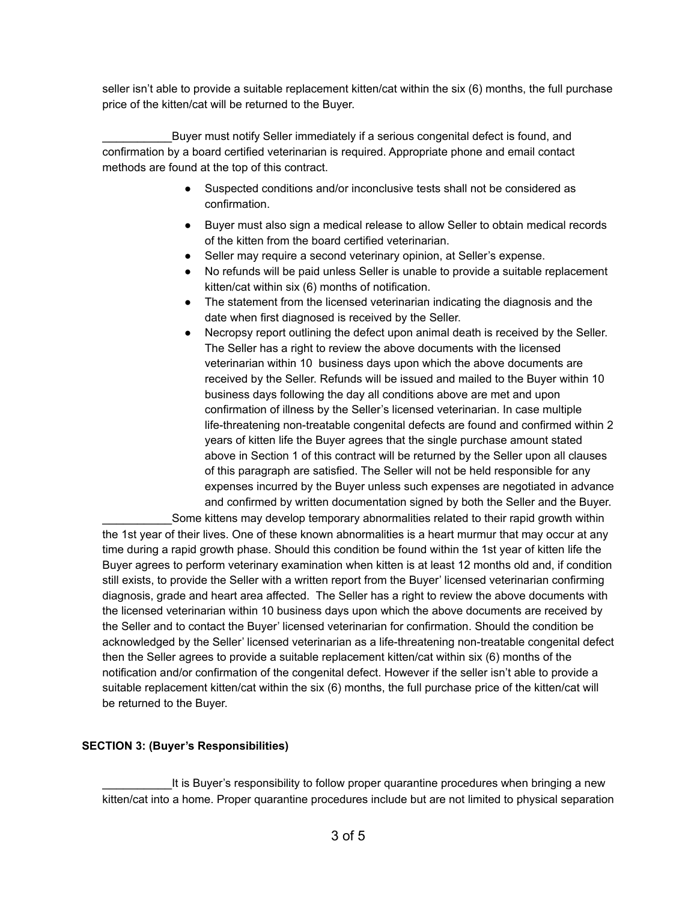seller isn't able to provide a suitable replacement kitten/cat within the six (6) months, the full purchase price of the kitten/cat will be returned to the Buyer.

Buyer must notify Seller immediately if a serious congenital defect is found, and confirmation by a board certified veterinarian is required. Appropriate phone and email contact methods are found at the top of this contract.

- Suspected conditions and/or inconclusive tests shall not be considered as confirmation.
- Buyer must also sign a medical release to allow Seller to obtain medical records of the kitten from the board certified veterinarian.
- Seller may require a second veterinary opinion, at Seller's expense.
- No refunds will be paid unless Seller is unable to provide a suitable replacement kitten/cat within six (6) months of notification.
- The statement from the licensed veterinarian indicating the diagnosis and the date when first diagnosed is received by the Seller.
- Necropsy report outlining the defect upon animal death is received by the Seller. The Seller has a right to review the above documents with the licensed veterinarian within 10 business days upon which the above documents are received by the Seller. Refunds will be issued and mailed to the Buyer within 10 business days following the day all conditions above are met and upon confirmation of illness by the Seller's licensed veterinarian. In case multiple life-threatening non-treatable congenital defects are found and confirmed within 2 years of kitten life the Buyer agrees that the single purchase amount stated above in Section 1 of this contract will be returned by the Seller upon all clauses of this paragraph are satisfied. The Seller will not be held responsible for any expenses incurred by the Buyer unless such expenses are negotiated in advance and confirmed by written documentation signed by both the Seller and the Buyer. Some kittens may develop temporary abnormalities related to their rapid growth within

the 1st year of their lives. One of these known abnormalities is a heart murmur that may occur at any time during a rapid growth phase. Should this condition be found within the 1st year of kitten life the Buyer agrees to perform veterinary examination when kitten is at least 12 months old and, if condition still exists, to provide the Seller with a written report from the Buyer' licensed veterinarian confirming diagnosis, grade and heart area affected. The Seller has a right to review the above documents with the licensed veterinarian within 10 business days upon which the above documents are received by the Seller and to contact the Buyer' licensed veterinarian for confirmation. Should the condition be acknowledged by the Seller' licensed veterinarian as a life-threatening non-treatable congenital defect then the Seller agrees to provide a suitable replacement kitten/cat within six (6) months of the notification and/or confirmation of the congenital defect. However if the seller isn't able to provide a suitable replacement kitten/cat within the six (6) months, the full purchase price of the kitten/cat will be returned to the Buyer.

### **SECTION 3: (Buyer's Responsibilities)**

It is Buyer's responsibility to follow proper quarantine procedures when bringing a new kitten/cat into a home. Proper quarantine procedures include but are not limited to physical separation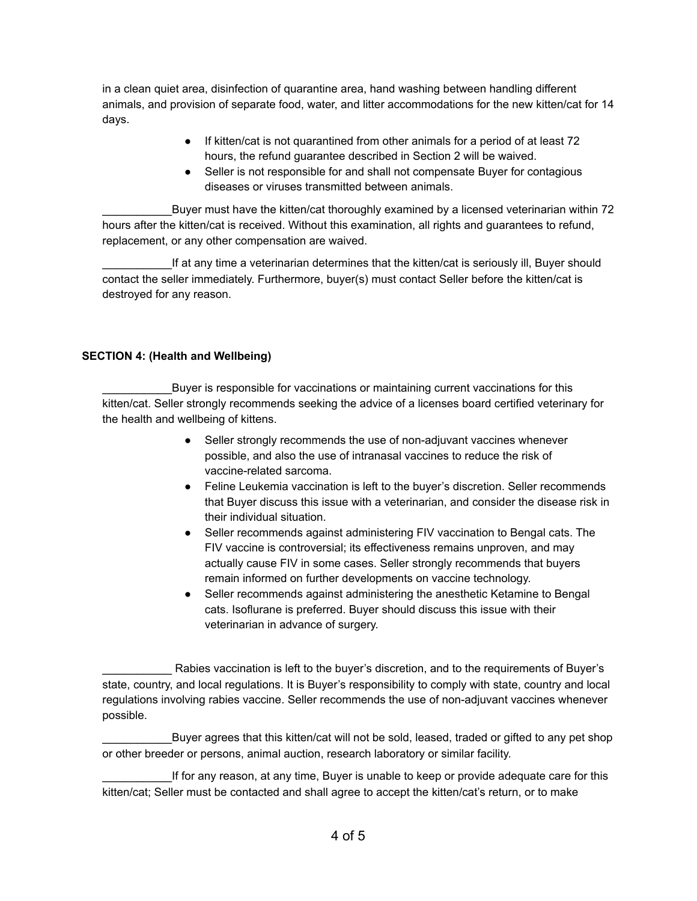in a clean quiet area, disinfection of quarantine area, hand washing between handling different animals, and provision of separate food, water, and litter accommodations for the new kitten/cat for 14 days.

- If kitten/cat is not quarantined from other animals for a period of at least 72 hours, the refund guarantee described in Section 2 will be waived.
- Seller is not responsible for and shall not compensate Buyer for contagious diseases or viruses transmitted between animals.

Buyer must have the kitten/cat thoroughly examined by a licensed veterinarian within 72 hours after the kitten/cat is received. Without this examination, all rights and guarantees to refund, replacement, or any other compensation are waived.

If at any time a veterinarian determines that the kitten/cat is seriously ill, Buyer should contact the seller immediately. Furthermore, buyer(s) must contact Seller before the kitten/cat is destroyed for any reason.

# **SECTION 4: (Health and Wellbeing)**

Buyer is responsible for vaccinations or maintaining current vaccinations for this kitten/cat. Seller strongly recommends seeking the advice of a licenses board certified veterinary for the health and wellbeing of kittens.

- Seller strongly recommends the use of non-adjuvant vaccines whenever possible, and also the use of intranasal vaccines to reduce the risk of vaccine-related sarcoma.
- Feline Leukemia vaccination is left to the buyer's discretion. Seller recommends that Buyer discuss this issue with a veterinarian, and consider the disease risk in their individual situation.
- Seller recommends against administering FIV vaccination to Bengal cats. The FIV vaccine is controversial; its effectiveness remains unproven, and may actually cause FIV in some cases. Seller strongly recommends that buyers remain informed on further developments on vaccine technology.
- Seller recommends against administering the anesthetic Ketamine to Bengal cats. Isoflurane is preferred. Buyer should discuss this issue with their veterinarian in advance of surgery.

Buyer agrees that this kitten/cat will not be sold, leased, traded or gifted to any pet shop or other breeder or persons, animal auction, research laboratory or similar facility.

If for any reason, at any time, Buyer is unable to keep or provide adequate care for this kitten/cat; Seller must be contacted and shall agree to accept the kitten/cat's return, or to make

Rabies vaccination is left to the buyer's discretion, and to the requirements of Buyer's state, country, and local regulations. It is Buyer's responsibility to comply with state, country and local regulations involving rabies vaccine. Seller recommends the use of non-adjuvant vaccines whenever possible.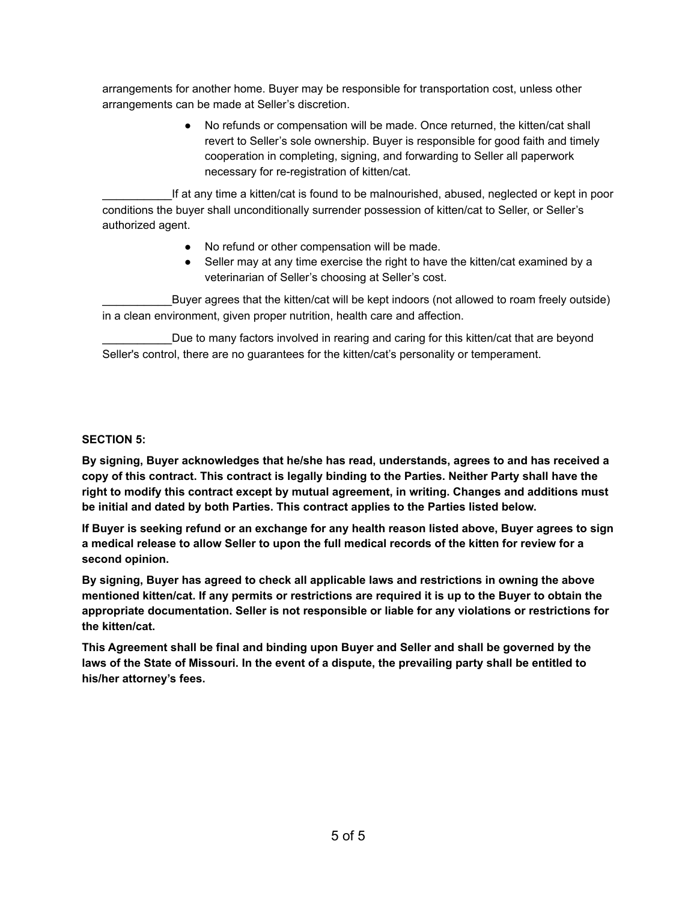arrangements for another home. Buyer may be responsible for transportation cost, unless other arrangements can be made at Seller's discretion.

> ● No refunds or compensation will be made. Once returned, the kitten/cat shall revert to Seller's sole ownership. Buyer is responsible for good faith and timely cooperation in completing, signing, and forwarding to Seller all paperwork necessary for re-registration of kitten/cat.

If at any time a kitten/cat is found to be malnourished, abused, neglected or kept in poor conditions the buyer shall unconditionally surrender possession of kitten/cat to Seller, or Seller's authorized agent.

- No refund or other compensation will be made.
- Seller may at any time exercise the right to have the kitten/cat examined by a veterinarian of Seller's choosing at Seller's cost.

Buyer agrees that the kitten/cat will be kept indoors (not allowed to roam freely outside) in a clean environment, given proper nutrition, health care and affection.

Due to many factors involved in rearing and caring for this kitten/cat that are beyond Seller's control, there are no guarantees for the kitten/cat's personality or temperament.

#### **SECTION 5:**

**By signing, Buyer acknowledges that he/she has read, understands, agrees to and has received a copy of this contract. This contract is legally binding to the Parties. Neither Party shall have the right to modify this contract except by mutual agreement, in writing. Changes and additions must be initial and dated by both Parties. This contract applies to the Parties listed below.**

**If Buyer is seeking refund or an exchange for any health reason listed above, Buyer agrees to sign** a medical release to allow Seller to upon the full medical records of the kitten for review for a **second opinion.**

**By signing, Buyer has agreed to check all applicable laws and restrictions in owning the above** mentioned kitten/cat. If any permits or restrictions are required it is up to the Buyer to obtain the **appropriate documentation. Seller is not responsible or liable for any violations or restrictions for the kitten/cat.**

**This Agreement shall be final and binding upon Buyer and Seller and shall be governed by the** laws of the State of Missouri. In the event of a dispute, the prevailing party shall be entitled to **his/her attorney's fees.**